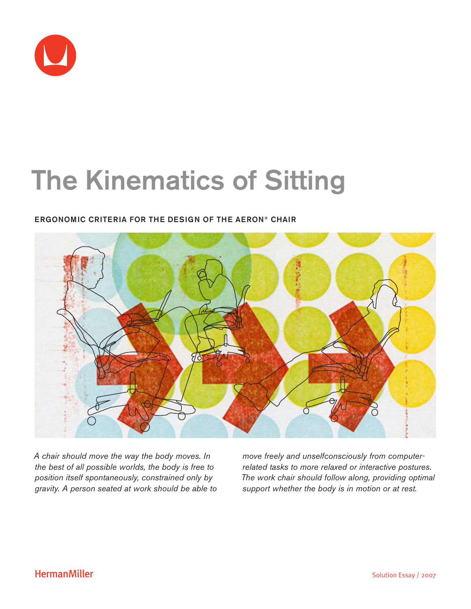

# The Kinematics of Sitting

### ERGONOMIC CRITERIA FOR THE DESIGN OF THE AERON® CHAIR



*A chair should move the way the body moves. In the best of all possible worlds, the body is free to position itself spontaneously, constrained only by gravity. A person seated at work should be able to*  *move freely and unselfconsciously from computerrelated tasks to more relaxed or interactive postures. The work chair should follow along, providing optimal support whether the body is in motion or at rest.*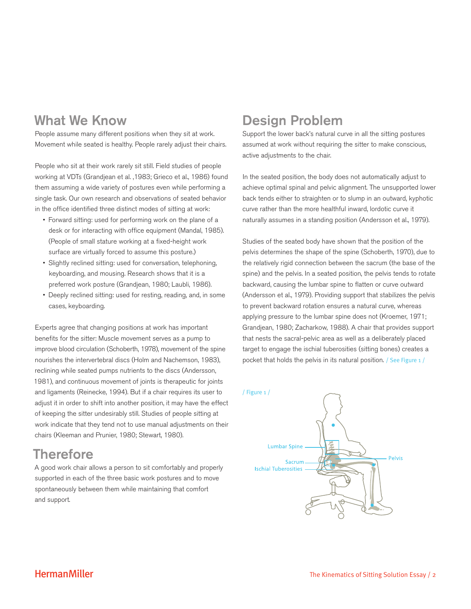### What We Know

People assume many different positions when they sit at work. Movement while seated is healthy. People rarely adjust their chairs.

People who sit at their work rarely sit still. Field studies of people working at VDTs (Grandjean et al. ,1983; Grieco et al., 1986) found them assuming a wide variety of postures even while performing a single task. Our own research and observations of seated behavior in the office identified three distinct modes of sitting at work:

- Forward sitting: used for performing work on the plane of a desk or for interacting with office equipment (Mandal, 1985). (People of small stature working at a fixed-height work surface are virtually forced to assume this posture.)
- Slightly reclined sitting: used for conversation, telephoning, keyboarding, and mousing. Research shows that it is a preferred work posture (Grandjean, 1980; Laubli, 1986).
- Deeply reclined sitting: used for resting, reading, and, in some cases, keyboarding.

Experts agree that changing positions at work has important benefits for the sitter: Muscle movement serves as a pump to improve blood circulation (Schoberth, 1978), movement of the spine nourishes the intervertebral discs (Holm and Nachemson, 1983), reclining while seated pumps nutrients to the discs (Andersson, 1981), and continuous movement of joints is therapeutic for joints and ligaments (Reinecke, 1994). But if a chair requires its user to adjust it in order to shift into another position, it may have the effect of keeping the sitter undesirably still. Studies of people sitting at work indicate that they tend not to use manual adjustments on their chairs (Kleeman and Prunier, 1980; Stewart, 1980).

### **Therefore**

A good work chair allows a person to sit comfortably and properly supported in each of the three basic work postures and to move spontaneously between them while maintaining that comfort and support.

## Design Problem

Support the lower back's natural curve in all the sitting postures assumed at work without requiring the sitter to make conscious, active adjustments to the chair.

In the seated position, the body does not automatically adjust to achieve optimal spinal and pelvic alignment. The unsupported lower back tends either to straighten or to slump in an outward, kyphotic curve rather than the more healthful inward, lordotic curve it naturally assumes in a standing position (Andersson et al., 1979).

Studies of the seated body have shown that the position of the pelvis determines the shape of the spine (Schoberth, 1970), due to the relatively rigid connection between the sacrum (the base of the spine) and the pelvis. In a seated position, the pelvis tends to rotate backward, causing the lumbar spine to flatten or curve outward (Andersson et al., 1979). Providing support that stabilizes the pelvis to prevent backward rotation ensures a natural curve, whereas applying pressure to the lumbar spine does not (Kroemer, 1971; Grandjean, 1980; Zacharkow, 1988). A chair that provides support that nests the sacral-pelvic area as well as a deliberately placed target to engage the ischial tuberosities (sitting bones) creates a pocket that holds the pelvis in its natural position. / See Figure 1 /

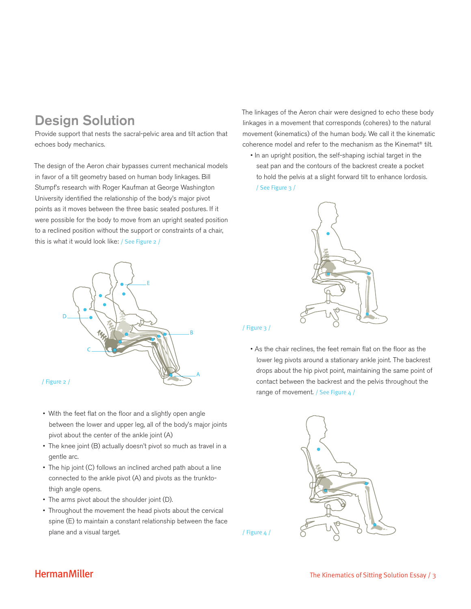# Design Solution

Provide support that nests the sacral-pelvic area and tilt action that echoes body mechanics.

The design of the Aeron chair bypasses current mechanical models in favor of a tilt geometry based on human body linkages. Bill Stumpf's research with Roger Kaufman at George Washington University identified the relationship of the body's major pivot points as it moves between the three basic seated postures. If it were possible for the body to move from an upright seated position to a reclined position without the support or constraints of a chair, this is what it would look like: / See Figure 2 /



- With the feet flat on the floor and a slightly open angle between the lower and upper leg, all of the body's major joints pivot about the center of the ankle joint (A)
- The knee joint (B) actually doesn't pivot so much as travel in a gentle arc.
- The hip joint (C) follows an inclined arched path about a line connected to the ankle pivot (A) and pivots as the trunktothigh angle opens.
- The arms pivot about the shoulder joint (D).
- Throughout the movement the head pivots about the cervical spine (E) to maintain a constant relationship between the face plane and a visual target.

The linkages of the Aeron chair were designed to echo these body linkages in a movement that corresponds (coheres) to the natural movement (kinematics) of the human body. We call it the kinematic coherence model and refer to the mechanism as the Kinemat® tilt.

• In an upright position, the self-shaping ischial target in the seat pan and the contours of the backrest create a pocket to hold the pelvis at a slight forward tilt to enhance lordosis. / See Figure 3 /



#### / Figure 3 /

/ Figure 4 /

• As the chair reclines, the feet remain flat on the floor as the lower leg pivots around a stationary ankle joint. The backrest drops about the hip pivot point, maintaining the same point of contact between the backrest and the pelvis throughout the range of movement. / See Figure 4 /

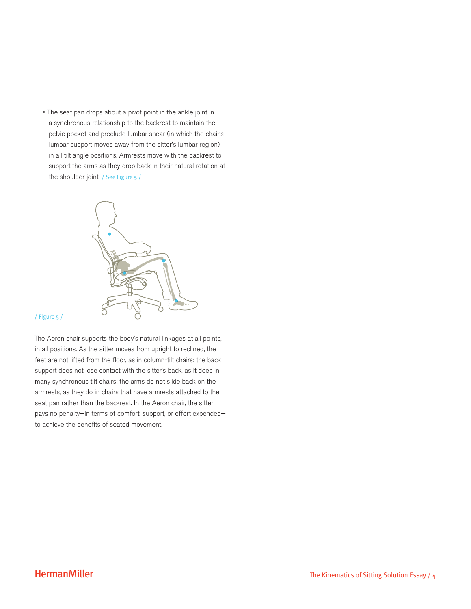• The seat pan drops about a pivot point in the ankle joint in a synchronous relationship to the backrest to maintain the pelvic pocket and preclude lumbar shear (in which the chair's lumbar support moves away from the sitter's lumbar region) in all tilt angle positions. Armrests move with the backrest to support the arms as they drop back in their natural rotation at the shoulder joint. / See Figure 5 /



#### / Figure 5 /

The Aeron chair supports the body's natural linkages at all points, in all positions. As the sitter moves from upright to reclined, the feet are not lifted from the floor, as in column-tilt chairs; the back support does not lose contact with the sitter's back, as it does in many synchronous tilt chairs; the arms do not slide back on the armrests, as they do in chairs that have armrests attached to the seat pan rather than the backrest. In the Aeron chair, the sitter pays no penalty—in terms of comfort, support, or effort expended to achieve the benefits of seated movement.